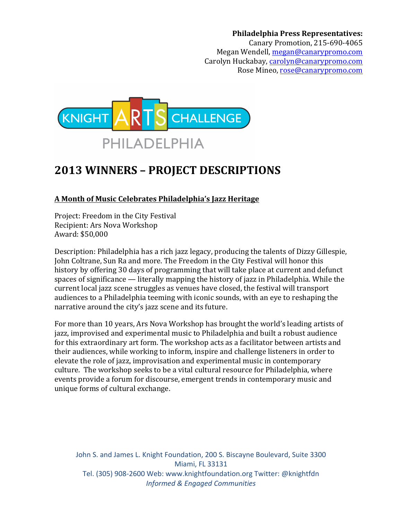**Philadelphia Press Representatives:** Canary Promotion, 215-690-4065 Megan Wendell, megan@canarypromo.com Carolyn Huckabay, carolyn@canarypromo.com Rose Mineo, rose@canarypromo.com



# **2013 WINNERS – PROJECT DESCRIPTIONS**

**A Month of Music Celebrates Philadelphia's Jazz Heritage**

Project: Freedom in the City Festival Recipient: Ars Nova Workshop Award: \$50,000

Description: Philadelphia has a rich jazz legacy, producing the talents of Dizzy Gillespie, John Coltrane, Sun Ra and more. The Freedom in the City Festival will honor this history by offering 30 days of programming that will take place at current and defunct spaces of significance  $-$  literally mapping the history of jazz in Philadelphia. While the current local jazz scene struggles as venues have closed, the festival will transport audiences to a Philadelphia teeming with iconic sounds, with an eye to reshaping the narrative around the city's jazz scene and its future.

For more than 10 years, Ars Nova Workshop has brought the world's leading artists of jazz, improvised and experimental music to Philadelphia and built a robust audience for this extraordinary art form. The workshop acts as a facilitator between artists and their audiences, while working to inform, inspire and challenge listeners in order to elevate the role of jazz, improvisation and experimental music in contemporary culture. The workshop seeks to be a vital cultural resource for Philadelphia, where events provide a forum for discourse, emergent trends in contemporary music and unique forms of cultural exchange.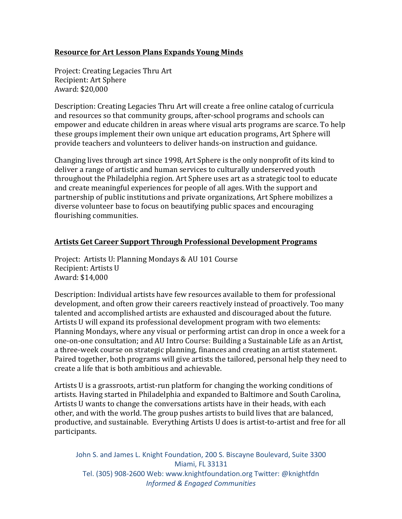## **Resource for Art Lesson Plans Expands Young Minds**

Project: Creating Legacies Thru Art Recipient: Art Sphere Award: \$20,000

Description: Creating Legacies Thru Art will create a free online catalog of curricula and resources so that community groups, after-school programs and schools can empower and educate children in areas where visual arts programs are scarce. To help these groups implement their own unique art education programs, Art Sphere will provide teachers and volunteers to deliver hands-on instruction and guidance.

Changing lives through art since 1998, Art Sphere is the only nonprofit of its kind to deliver a range of artistic and human services to culturally underserved youth throughout the Philadelphia region. Art Sphere uses art as a strategic tool to educate and create meaningful experiences for people of all ages. With the support and partnership of public institutions and private organizations, Art Sphere mobilizes a diverse volunteer base to focus on beautifying public spaces and encouraging flourishing communities.

#### **Artists Get Career Support Through Professional Development Programs**

Project: Artists U: Planning Mondays & AU 101 Course Recipient: Artists U Award: \$14,000

Description: Individual artists have few resources available to them for professional development, and often grow their careers reactively instead of proactively. Too many talented and accomplished artists are exhausted and discouraged about the future. Artists U will expand its professional development program with two elements: Planning Mondays, where any visual or performing artist can drop in once a week for a one-on-one consultation; and AU Intro Course: Building a Sustainable Life as an Artist, a three-week course on strategic planning, finances and creating an artist statement. Paired together, both programs will give artists the tailored, personal help they need to create a life that is both ambitious and achievable.

Artists U is a grassroots, artist-run platform for changing the working conditions of artists. Having started in Philadelphia and expanded to Baltimore and South Carolina, Artists U wants to change the conversations artists have in their heads, with each other, and with the world. The group pushes artists to build lives that are balanced, productive, and sustainable. Everything Artists U does is artist-to-artist and free for all participants.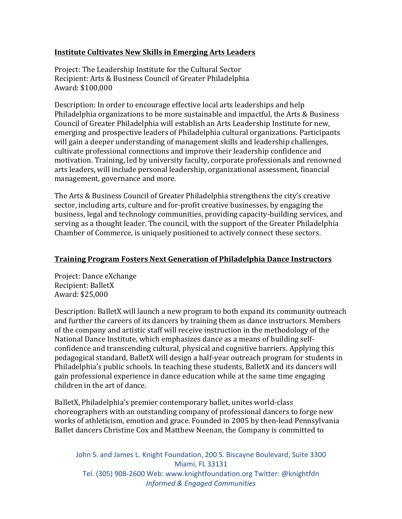## **Institute Cultivates New Skills in Emerging Arts Leaders**

Project: The Leadership Institute for the Cultural Sector Recipient: Arts & Business Council of Greater Philadelphia Award: \$100,000

Description: In order to encourage effective local arts leaderships and help Philadelphia organizations to be more sustainable and impactful, the Arts  $&$  Business Council of Greater Philadelphia will establish an Arts Leadership Institute for new, emerging and prospective leaders of Philadelphia cultural organizations. Participants will gain a deeper understanding of management skills and leadership challenges, cultivate professional connections and improve their leadership confidence and motivation. Training, led by university faculty, corporate professionals and renowned arts leaders, will include personal leadership, organizational assessment, financial management, governance and more.

The Arts & Business Council of Greater Philadelphia strengthens the city's creative sector, including arts, culture and for-profit creative businesses, by engaging the business, legal and technology communities, providing capacity-building services, and serving as a thought leader. The council, with the support of the Greater Philadelphia Chamber of Commerce, is uniquely positioned to actively connect these sectors.

# **Training Program Fosters Next Generation of Philadelphia Dance Instructors**

Project: Dance eXchange Recipient: BalletX Award: \$25,000

Description: BalletX will launch a new program to both expand its community outreach and further the careers of its dancers by training them as dance instructors. Members of the company and artistic staff will receive instruction in the methodology of the National Dance Institute, which emphasizes dance as a means of building selfconfidence and transcending cultural, physical and cognitive barriers. Applying this pedagogical standard, BalletX will design a half-year outreach program for students in Philadelphia's public schools. In teaching these students, BalletX and its dancers will gain professional experience in dance education while at the same time engaging children in the art of dance.

BalletX, Philadelphia's premier contemporary ballet, unites world-class choreographers with an outstanding company of professional dancers to forge new works of athleticism, emotion and grace. Founded in 2005 by then-lead Pennsylvania Ballet dancers Christine Cox and Matthew Neenan, the Company is committed to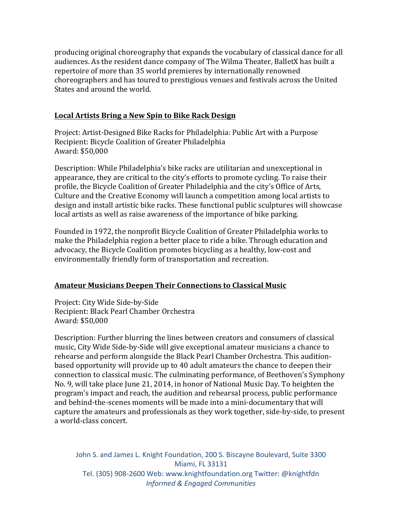producing original choreography that expands the vocabulary of classical dance for all audiences. As the resident dance company of The Wilma Theater, BalletX has built a repertoire of more than 35 world premieres by internationally renowned choreographers and has toured to prestigious venues and festivals across the United States and around the world.

#### Local Artists Bring a New Spin to Bike Rack Design

Project: Artist-Designed Bike Racks for Philadelphia: Public Art with a Purpose Recipient: Bicycle Coalition of Greater Philadelphia Award: \$50,000

Description: While Philadelphia's bike racks are utilitarian and unexceptional in appearance, they are critical to the city's efforts to promote cycling. To raise their profile, the Bicycle Coalition of Greater Philadelphia and the city's Office of Arts, Culture and the Creative Economy will launch a competition among local artists to design and install artistic bike racks. These functional public sculptures will showcase local artists as well as raise awareness of the importance of bike parking.

Founded in 1972, the nonprofit Bicycle Coalition of Greater Philadelphia works to make the Philadelphia region a better place to ride a bike. Through education and advocacy, the Bicycle Coalition promotes bicycling as a healthy, low-cost and environmentally friendly form of transportation and recreation.

# Amateur Musicians Deepen Their Connections to Classical Music

Project: City Wide Side-by-Side Recipient: Black Pearl Chamber Orchestra Award: \$50,000

Description: Further blurring the lines between creators and consumers of classical music, City Wide Side-by-Side will give exceptional amateur musicians a chance to rehearse and perform alongside the Black Pearl Chamber Orchestra. This auditionbased opportunity will provide up to 40 adult amateurs the chance to deepen their connection to classical music. The culminating performance, of Beethoven's Symphony No. 9, will take place June 21, 2014, in honor of National Music Day. To heighten the program's impact and reach, the audition and rehearsal process, public performance and behind-the-scenes moments will be made into a mini-documentary that will capture the amateurs and professionals as they work together, side-by-side, to present a world-class concert.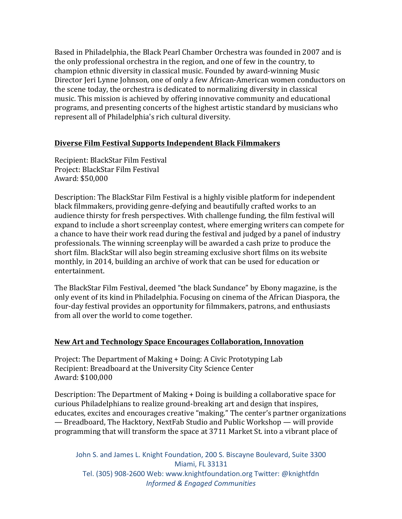Based in Philadelphia, the Black Pearl Chamber Orchestra was founded in 2007 and is the only professional orchestra in the region, and one of few in the country, to champion ethnic diversity in classical music. Founded by award-winning Music Director Jeri Lynne Johnson, one of only a few African-American women conductors on the scene today, the orchestra is dedicated to normalizing diversity in classical music. This mission is achieved by offering innovative community and educational programs, and presenting concerts of the highest artistic standard by musicians who represent all of Philadelphia's rich cultural diversity.

#### **Diverse Film Festival Supports Independent Black Filmmakers**

Recipient: BlackStar Film Festival Project: BlackStar Film Festival Award: \$50,000

Description: The BlackStar Film Festival is a highly visible platform for independent black filmmakers, providing genre-defying and beautifully crafted works to an audience thirsty for fresh perspectives. With challenge funding, the film festival will expand to include a short screenplay contest, where emerging writers can compete for a chance to have their work read during the festival and judged by a panel of industry professionals. The winning screenplay will be awarded a cash prize to produce the short film. BlackStar will also begin streaming exclusive short films on its website monthly, in 2014, building an archive of work that can be used for education or entertainment.

The BlackStar Film Festival, deemed "the black Sundance" by Ebony magazine, is the only event of its kind in Philadelphia. Focusing on cinema of the African Diaspora, the four-day festival provides an opportunity for filmmakers, patrons, and enthusiasts from all over the world to come together.

#### **New Art and Technology Space Encourages Collaboration, Innovation**

Project: The Department of Making + Doing: A Civic Prototyping Lab Recipient: Breadboard at the University City Science Center Award: \$100,000

Description: The Department of Making + Doing is building a collaborative space for curious Philadelphians to realize ground-breaking art and design that inspires, educates, excites and encourages creative "making." The center's partner organizations — Breadboard, The Hacktory, NextFab Studio and Public Workshop — will provide programming that will transform the space at 3711 Market St. into a vibrant place of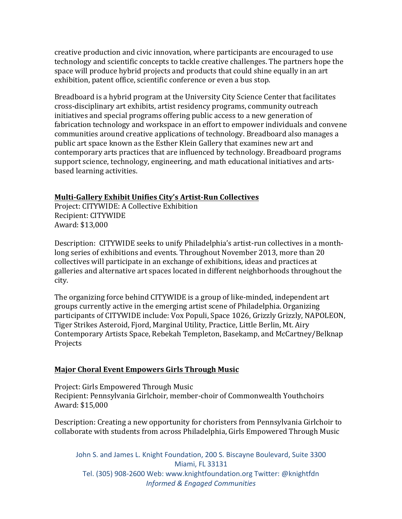creative production and civic innovation, where participants are encouraged to use technology and scientific concepts to tackle creative challenges. The partners hope the space will produce hybrid projects and products that could shine equally in an art exhibition, patent office, scientific conference or even a bus stop.

Breadboard is a hybrid program at the University City Science Center that facilitates cross-disciplinary art exhibits, artist residency programs, community outreach initiatives and special programs offering public access to a new generation of fabrication technology and workspace in an effort to empower individuals and convene communities around creative applications of technology. Breadboard also manages a public art space known as the Esther Klein Gallery that examines new art and contemporary arts practices that are influenced by technology. Breadboard programs support science, technology, engineering, and math educational initiatives and artsbased learning activities.

#### **Multi-Gallery Exhibit Unifies City's Artist-Run Collectives**

Project: CITYWIDE: A Collective Exhibition Recipient: CITYWIDE Award: \$13,000

Description: CITYWIDE seeks to unify Philadelphia's artist-run collectives in a monthlong series of exhibitions and events. Throughout November 2013, more than 20 collectives will participate in an exchange of exhibitions, ideas and practices at galleries and alternative art spaces located in different neighborhoods throughout the city. 

The organizing force behind CITYWIDE is a group of like-minded, independent art groups currently active in the emerging artist scene of Philadelphia. Organizing participants of CITYWIDE include: Vox Populi, Space 1026, Grizzly Grizzly, NAPOLEON, Tiger Strikes Asteroid, Fjord, Marginal Utility, Practice, Little Berlin, Mt. Airy Contemporary Artists Space, Rebekah Templeton, Basekamp, and McCartney/Belknap Projects

#### **Major Choral Event Empowers Girls Through Music**

Project: Girls Empowered Through Music Recipient: Pennsylvania Girlchoir, member-choir of Commonwealth Youthchoirs Award: \$15,000

Description: Creating a new opportunity for choristers from Pennsylvania Girlchoir to collaborate with students from across Philadelphia, Girls Empowered Through Music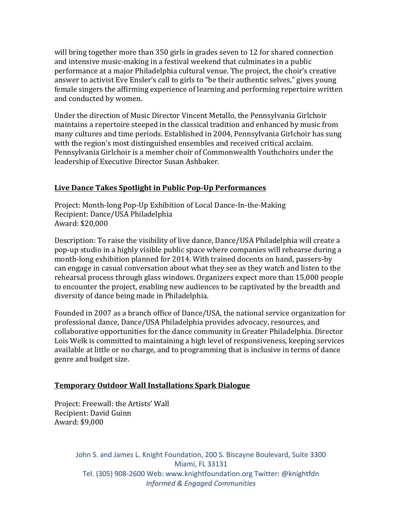will bring together more than  $350$  girls in grades seven to 12 for shared connection and intensive music-making in a festival weekend that culminates in a public performance at a major Philadelphia cultural venue. The project, the choir's creative answer to activist Eve Ensler's call to girls to "be their authentic selves," gives young female singers the affirming experience of learning and performing repertoire written and conducted by women.

Under the direction of Music Director Vincent Metallo, the Pennsylvania Girlchoir maintains a repertoire steeped in the classical tradition and enhanced by music from many cultures and time periods. Established in 2004, Pennsylvania Girlchoir has sung with the region's most distinguished ensembles and received critical acclaim. Pennsylvania Girlchoir is a member choir of Commonwealth Youthchoirs under the leadership of Executive Director Susan Ashbaker.

## **Live Dance Takes Spotlight in Public Pop-Up Performances**

Project: Month-long Pop-Up Exhibition of Local Dance-In-the-Making Recipient: Dance/USA Philadelphia Award: \$20,000

Description: To raise the visibility of live dance, Dance/USA Philadelphia will create a pop-up studio in a highly visible public space where companies will rehearse during a month-long exhibition planned for 2014. With trained docents on hand, passers-by can engage in casual conversation about what they see as they watch and listen to the rehearsal process through glass windows. Organizers expect more than 15,000 people to encounter the project, enabling new audiences to be captivated by the breadth and diversity of dance being made in Philadelphia.

Founded in 2007 as a branch office of Dance/USA, the national service organization for professional dance, Dance/USA Philadelphia provides advocacy, resources, and collaborative opportunities for the dance community in Greater Philadelphia. Director Lois Welk is committed to maintaining a high level of responsiveness, keeping services available at little or no charge, and to programming that is inclusive in terms of dance genre and budget size.

#### **Temporary Outdoor Wall Installations Spark Dialogue**

Project: Freewall: the Artists' Wall Recipient: David Guinn Award: \$9,000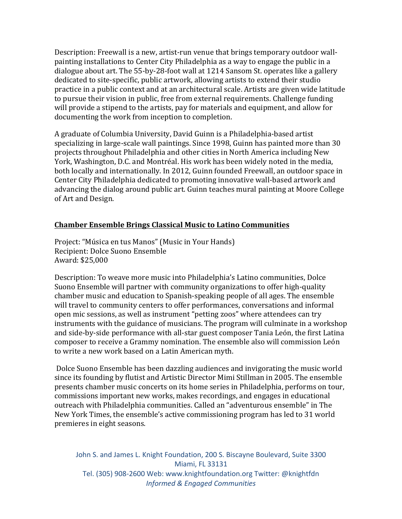Description: Freewall is a new, artist-run venue that brings temporary outdoor wallpainting installations to Center City Philadelphia as a way to engage the public in a dialogue about art. The  $55$ -by-28-foot wall at  $1214$  Sansom St. operates like a gallery dedicated to site-specific, public artwork, allowing artists to extend their studio practice in a public context and at an architectural scale. Artists are given wide latitude to pursue their vision in public, free from external requirements. Challenge funding will provide a stipend to the artists, pay for materials and equipment, and allow for documenting the work from inception to completion.

A graduate of Columbia University, David Guinn is a Philadelphia-based artist specializing in large-scale wall paintings. Since 1998, Guinn has painted more than  $30$ projects throughout Philadelphia and other cities in North America including New York, Washington, D.C. and Montréal. His work has been widely noted in the media, both locally and internationally. In 2012, Guinn founded Freewall, an outdoor space in Center City Philadelphia dedicated to promoting innovative wall-based artwork and advancing the dialog around public art. Guinn teaches mural painting at Moore College of Art and Design.

#### **Chamber Ensemble Brings Classical Music to Latino Communities**

Project: "Música en tus Manos" (Music in Your Hands) Recipient: Dolce Suono Ensemble Award: \$25,000

Description: To weave more music into Philadelphia's Latino communities, Dolce Suono Ensemble will partner with community organizations to offer high-quality chamber music and education to Spanish-speaking people of all ages. The ensemble will travel to community centers to offer performances, conversations and informal open mic sessions, as well as instrument "petting zoos" where attendees can try instruments with the guidance of musicians. The program will culminate in a workshop and side-by-side performance with all-star guest composer Tania León, the first Latina composer to receive a Grammy nomination. The ensemble also will commission León to write a new work based on a Latin American myth.

Dolce Suono Ensemble has been dazzling audiences and invigorating the music world since its founding by flutist and Artistic Director Mimi Stillman in 2005. The ensemble presents chamber music concerts on its home series in Philadelphia, performs on tour, commissions important new works, makes recordings, and engages in educational outreach with Philadelphia communities. Called an "adventurous ensemble" in The New York Times, the ensemble's active commissioning program has led to 31 world premieres in eight seasons.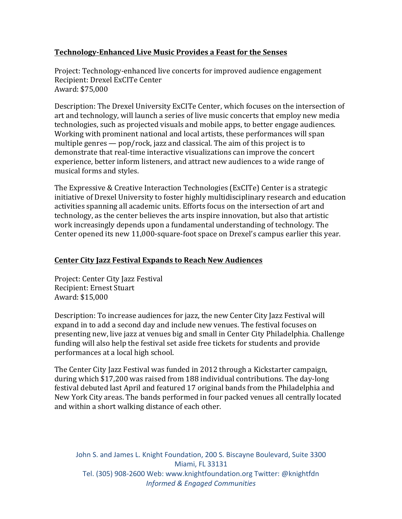# **Technology-Enhanced Live Music Provides a Feast for the Senses**

Project: Technology-enhanced live concerts for improved audience engagement Recipient: Drexel ExCITe Center Award: \$75,000

Description: The Drexel University ExCITe Center, which focuses on the intersection of art and technology, will launch a series of live music concerts that employ new media technologies, such as projected visuals and mobile apps, to better engage audiences. Working with prominent national and local artists, these performances will span multiple genres  $-$  pop/rock, jazz and classical. The aim of this project is to demonstrate that real-time interactive visualizations can improve the concert experience, better inform listeners, and attract new audiences to a wide range of musical forms and styles.

The Expressive & Creative Interaction Technologies (ExCITe) Center is a strategic initiative of Drexel University to foster highly multidisciplinary research and education activities spanning all academic units. Efforts focus on the intersection of art and technology, as the center believes the arts inspire innovation, but also that artistic work increasingly depends upon a fundamental understanding of technology. The Center opened its new  $11,000$ -square-foot space on Drexel's campus earlier this year.

# **Center City Jazz Festival Expands to Reach New Audiences**

Project: Center City Jazz Festival Recipient: Ernest Stuart Award: \$15,000

Description: To increase audiences for jazz, the new Center City Jazz Festival will expand in to add a second day and include new venues. The festival focuses on presenting new, live jazz at venues big and small in Center City Philadelphia. Challenge funding will also help the festival set aside free tickets for students and provide performances at a local high school.

The Center City Jazz Festival was funded in 2012 through a Kickstarter campaign, during which \$17,200 was raised from 188 individual contributions. The dav-long festival debuted last April and featured 17 original bands from the Philadelphia and New York City areas. The bands performed in four packed venues all centrally located and within a short walking distance of each other.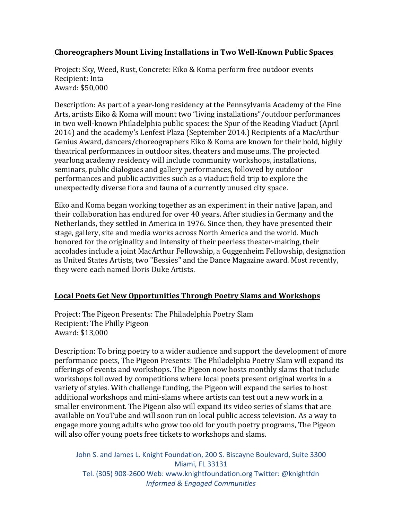## **Choreographers Mount Living Installations in Two Well-Known Public Spaces**

Project: Sky, Weed, Rust, Concrete: Eiko & Koma perform free outdoor events Recipient: Inta Award: \$50,000

Description: As part of a year-long residency at the Pennsylvania Academy of the Fine Arts, artists Eiko & Koma will mount two "living installations"/outdoor performances in two well-known Philadelphia public spaces: the Spur of the Reading Viaduct (April 2014) and the academy's Lenfest Plaza (September 2014.) Recipients of a MacArthur Genius Award, dancers/choreographers Eiko & Koma are known for their bold, highly theatrical performances in outdoor sites, theaters and museums. The projected yearlong academy residency will include community workshops, installations, seminars, public dialogues and gallery performances, followed by outdoor performances and public activities such as a viaduct field trip to explore the unexpectedly diverse flora and fauna of a currently unused city space.

Eiko and Koma began working together as an experiment in their native Japan, and their collaboration has endured for over 40 years. After studies in Germany and the Netherlands, they settled in America in 1976. Since then, they have presented their stage, gallery, site and media works across North America and the world. Much honored for the originality and intensity of their peerless theater-making, their accolades include a joint MacArthur Fellowship, a Guggenheim Fellowship, designation as United States Artists, two "Bessies" and the Dance Magazine award. Most recently, they were each named Doris Duke Artists.

# Local Poets Get New Opportunities Through Poetry Slams and Workshops

Project: The Pigeon Presents: The Philadelphia Poetry Slam Recipient: The Philly Pigeon Award: \$13,000

Description: To bring poetry to a wider audience and support the development of more performance poets, The Pigeon Presents: The Philadelphia Poetry Slam will expand its offerings of events and workshops. The Pigeon now hosts monthly slams that include workshops followed by competitions where local poets present original works in a variety of styles. With challenge funding, the Pigeon will expand the series to host additional workshops and mini-slams where artists can test out a new work in a smaller environment. The Pigeon also will expand its video series of slams that are available on YouTube and will soon run on local public access television. As a way to engage more young adults who grow too old for youth poetry programs, The Pigeon will also offer young poets free tickets to workshops and slams.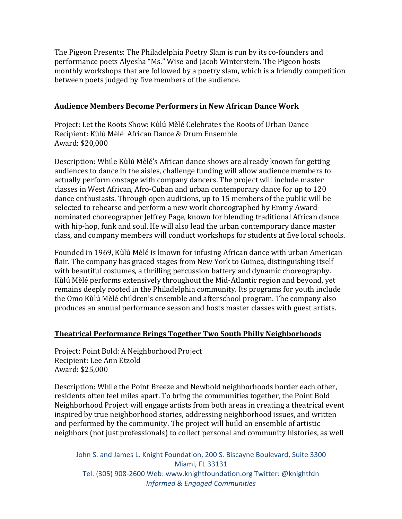The Pigeon Presents: The Philadelphia Poetry Slam is run by its co-founders and performance poets Alyesha "Ms." Wise and Jacob Winterstein. The Pigeon hosts monthly workshops that are followed by a poetry slam, which is a friendly competition between poets judged by five members of the audience.

#### **Audience Members Become Performers in New African Dance Work**

Project: Let the Roots Show: Kùlú Mèlé Celebrates the Roots of Urban Dance Recipient: Kùlú Mèlé African Dance & Drum Ensemble Award: \$20,000

Description: While Kùlú Mèlé's African dance shows are already known for getting audiences to dance in the aisles, challenge funding will allow audience members to actually perform onstage with company dancers. The project will include master classes in West African, Afro-Cuban and urban contemporary dance for up to 120 dance enthusiasts. Through open auditions, up to 15 members of the public will be selected to rehearse and perform a new work choreographed by Emmy Awardnominated choreographer Jeffrey Page, known for blending traditional African dance with hip-hop, funk and soul. He will also lead the urban contemporary dance master class, and company members will conduct workshops for students at five local schools.

Founded in 1969, Kùlú Mèlé is known for infusing African dance with urban American flair. The company has graced stages from New York to Guinea, distinguishing itself with beautiful costumes, a thrilling percussion battery and dynamic choreography. Kùlú Mèlé performs extensively throughout the Mid-Atlantic region and beyond, yet remains deeply rooted in the Philadelphia community. Its programs for youth include the Omo Kùlú Mèlé children's ensemble and afterschool program. The company also produces an annual performance season and hosts master classes with guest artists.

#### **Theatrical Performance Brings Together Two South Philly Neighborhoods**

Project: Point Bold: A Neighborhood Project Recipient: Lee Ann Etzold Award: \$25,000

Description: While the Point Breeze and Newbold neighborhoods border each other, residents often feel miles apart. To bring the communities together, the Point Bold Neighborhood Project will engage artists from both areas in creating a theatrical event inspired by true neighborhood stories, addressing neighborhood issues, and written and performed by the community. The project will build an ensemble of artistic neighbors (not just professionals) to collect personal and community histories, as well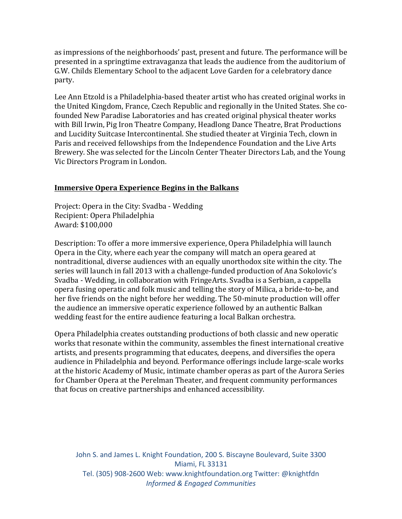as impressions of the neighborhoods' past, present and future. The performance will be presented in a springtime extravaganza that leads the audience from the auditorium of G.W. Childs Elementary School to the adjacent Love Garden for a celebratory dance party.

Lee Ann Etzold is a Philadelphia-based theater artist who has created original works in the United Kingdom, France, Czech Republic and regionally in the United States. She cofounded New Paradise Laboratories and has created original physical theater works with Bill Irwin, Pig Iron Theatre Company, Headlong Dance Theatre, Brat Productions and Lucidity Suitcase Intercontinental. She studied theater at Virginia Tech, clown in Paris and received fellowships from the Independence Foundation and the Live Arts Brewery. She was selected for the Lincoln Center Theater Directors Lab, and the Young Vic Directors Program in London.

#### **Immersive Opera Experience Begins in the Balkans**

Project: Opera in the City: Svadba - Wedding Recipient: Opera Philadelphia Award: \$100,000

Description: To offer a more immersive experience, Opera Philadelphia will launch Opera in the City, where each year the company will match an opera geared at nontraditional, diverse audiences with an equally unorthodox site within the city. The series will launch in fall 2013 with a challenge-funded production of Ana Sokolovic's Svadba - Wedding, in collaboration with FringeArts. Svadba is a Serbian, a cappella opera fusing operatic and folk music and telling the story of Milica, a bride-to-be, and her five friends on the night before her wedding. The 50-minute production will offer the audience an immersive operatic experience followed by an authentic Balkan wedding feast for the entire audience featuring a local Balkan orchestra.

Opera Philadelphia creates outstanding productions of both classic and new operatic works that resonate within the community, assembles the finest international creative artists, and presents programming that educates, deepens, and diversifies the opera audience in Philadelphia and beyond. Performance offerings include large-scale works at the historic Academy of Music, intimate chamber operas as part of the Aurora Series for Chamber Opera at the Perelman Theater, and frequent community performances that focus on creative partnerships and enhanced accessibility.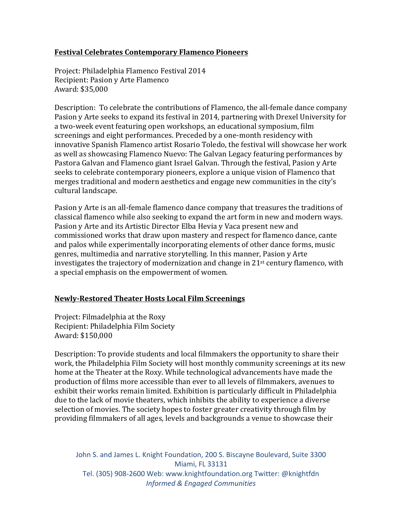## **Festival Celebrates Contemporary Flamenco Pioneers**

Project: Philadelphia Flamenco Festival 2014 Recipient: Pasion y Arte Flamenco Award: \$35,000

Description: To celebrate the contributions of Flamenco, the all-female dance company Pasion y Arte seeks to expand its festival in 2014, partnering with Drexel University for a two-week event featuring open workshops, an educational symposium, film screenings and eight performances. Preceded by a one-month residency with innovative Spanish Flamenco artist Rosario Toledo, the festival will showcase her work as well as showcasing Flamenco Nuevo: The Galvan Legacy featuring performances by Pastora Galvan and Flamenco giant Israel Galvan. Through the festival, Pasion y Arte seeks to celebrate contemporary pioneers, explore a unique vision of Flamenco that merges traditional and modern aesthetics and engage new communities in the city's cultural landscape.

Pasion y Arte is an all-female flamenco dance company that treasures the traditions of classical flamenco while also seeking to expand the art form in new and modern ways. Pasion y Arte and its Artistic Director Elba Hevia y Vaca present new and commissioned works that draw upon mastery and respect for flamenco dance, cante and palos while experimentally incorporating elements of other dance forms, music genres, multimedia and narrative storytelling. In this manner, Pasion y Arte investigates the trajectory of modernization and change in  $21^{st}$  century flamenco, with a special emphasis on the empowerment of women.

# **Newly-Restored Theater Hosts Local Film Screenings**

Project: Filmadelphia at the Roxy Recipient: Philadelphia Film Society Award: \$150,000

Description: To provide students and local filmmakers the opportunity to share their work, the Philadelphia Film Society will host monthly community screenings at its new home at the Theater at the Roxy. While technological advancements have made the production of films more accessible than ever to all levels of filmmakers, avenues to exhibit their works remain limited. Exhibition is particularly difficult in Philadelphia due to the lack of movie theaters, which inhibits the ability to experience a diverse selection of movies. The society hopes to foster greater creativity through film by providing filmmakers of all ages, levels and backgrounds a venue to showcase their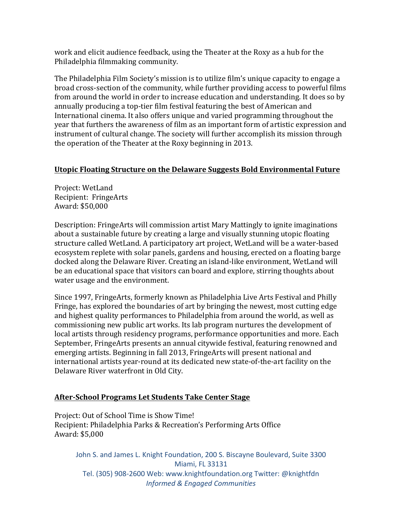work and elicit audience feedback, using the Theater at the Roxy as a hub for the Philadelphia filmmaking community.

The Philadelphia Film Society's mission is to utilize film's unique capacity to engage a broad cross-section of the community, while further providing access to powerful films from around the world in order to increase education and understanding. It does so by annually producing a top-tier film festival featuring the best of American and International cinema. It also offers unique and varied programming throughout the year that furthers the awareness of film as an important form of artistic expression and instrument of cultural change. The society will further accomplish its mission through the operation of the Theater at the Roxy beginning in 2013.

#### **Utopic Floating Structure on the Delaware Suggests Bold Environmental Future**

Project: WetLand Recipient: FringeArts Award: \$50,000

Description: FringeArts will commission artist Mary Mattingly to ignite imaginations about a sustainable future by creating a large and visually stunning utopic floating structure called WetLand. A participatory art project, WetLand will be a water-based ecosystem replete with solar panels, gardens and housing, erected on a floating barge docked along the Delaware River. Creating an island-like environment, WetLand will be an educational space that visitors can board and explore, stirring thoughts about water usage and the environment.

Since 1997, FringeArts, formerly known as Philadelphia Live Arts Festival and Philly Fringe, has explored the boundaries of art by bringing the newest, most cutting edge and highest quality performances to Philadelphia from around the world, as well as commissioning new public art works. Its lab program nurtures the development of local artists through residency programs, performance opportunities and more. Each September, FringeArts presents an annual citywide festival, featuring renowned and emerging artists. Beginning in fall 2013, FringeArts will present national and international artists year-round at its dedicated new state-of-the-art facility on the Delaware River waterfront in Old City.

#### **After-School Programs Let Students Take Center Stage**

Project: Out of School Time is Show Time! Recipient: Philadelphia Parks & Recreation's Performing Arts Office Award: \$5,000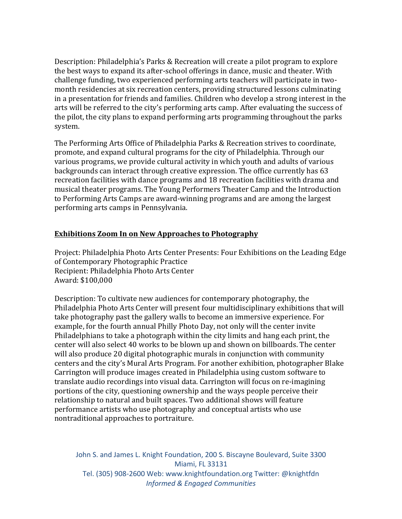Description: Philadelphia's Parks & Recreation will create a pilot program to explore the best ways to expand its after-school offerings in dance, music and theater. With challenge funding, two experienced performing arts teachers will participate in twomonth residencies at six recreation centers, providing structured lessons culminating in a presentation for friends and families. Children who develop a strong interest in the arts will be referred to the city's performing arts camp. After evaluating the success of the pilot, the city plans to expand performing arts programming throughout the parks system. 

The Performing Arts Office of Philadelphia Parks & Recreation strives to coordinate, promote, and expand cultural programs for the city of Philadelphia. Through our various programs, we provide cultural activity in which youth and adults of various backgrounds can interact through creative expression. The office currently has 63 recreation facilities with dance programs and 18 recreation facilities with drama and musical theater programs. The Young Performers Theater Camp and the Introduction to Performing Arts Camps are award-winning programs and are among the largest performing arts camps in Pennsylvania.

#### **Exhibitions Zoom In on New Approaches to Photography**

Project: Philadelphia Photo Arts Center Presents: Four Exhibitions on the Leading Edge of Contemporary Photographic Practice Recipient: Philadelphia Photo Arts Center Award: \$100,000

Description: To cultivate new audiences for contemporary photography, the Philadelphia Photo Arts Center will present four multidisciplinary exhibitions that will take photography past the gallery walls to become an immersive experience. For example, for the fourth annual Philly Photo Day, not only will the center invite Philadelphians to take a photograph within the city limits and hang each print, the center will also select 40 works to be blown up and shown on billboards. The center will also produce 20 digital photographic murals in conjunction with community centers and the city's Mural Arts Program. For another exhibition, photographer Blake Carrington will produce images created in Philadelphia using custom software to translate audio recordings into visual data. Carrington will focus on re-imagining portions of the city, questioning ownership and the ways people perceive their relationship to natural and built spaces. Two additional shows will feature performance artists who use photography and conceptual artists who use nontraditional approaches to portraiture.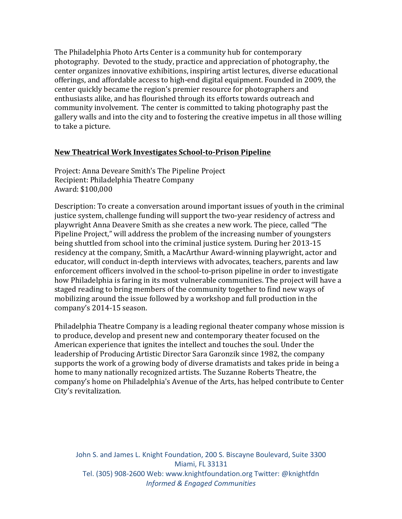The Philadelphia Photo Arts Center is a community hub for contemporary photography. Devoted to the study, practice and appreciation of photography, the center organizes innovative exhibitions, inspiring artist lectures, diverse educational offerings, and affordable access to high-end digital equipment. Founded in 2009, the center quickly became the region's premier resource for photographers and enthusiasts alike, and has flourished through its efforts towards outreach and community involvement. The center is committed to taking photography past the gallery walls and into the city and to fostering the creative impetus in all those willing to take a picture.

#### **New Theatrical Work Investigates School-to-Prison Pipeline**

Project: Anna Deveare Smith's The Pipeline Project Recipient: Philadelphia Theatre Company Award: \$100,000

Description: To create a conversation around important issues of youth in the criminal justice system, challenge funding will support the two-year residency of actress and playwright Anna Deavere Smith as she creates a new work. The piece, called "The Pipeline Project," will address the problem of the increasing number of youngsters being shuttled from school into the criminal justice system. During her 2013-15 residency at the company, Smith, a MacArthur Award-winning playwright, actor and educator, will conduct in-depth interviews with advocates, teachers, parents and law enforcement officers involved in the school-to-prison pipeline in order to investigate how Philadelphia is faring in its most vulnerable communities. The project will have a staged reading to bring members of the community together to find new ways of mobilizing around the issue followed by a workshop and full production in the company's 2014-15 season.

Philadelphia Theatre Company is a leading regional theater company whose mission is to produce, develop and present new and contemporary theater focused on the American experience that ignites the intellect and touches the soul. Under the leadership of Producing Artistic Director Sara Garonzik since 1982, the company supports the work of a growing body of diverse dramatists and takes pride in being a home to many nationally recognized artists. The Suzanne Roberts Theatre, the company's home on Philadelphia's Avenue of the Arts, has helped contribute to Center City's revitalization.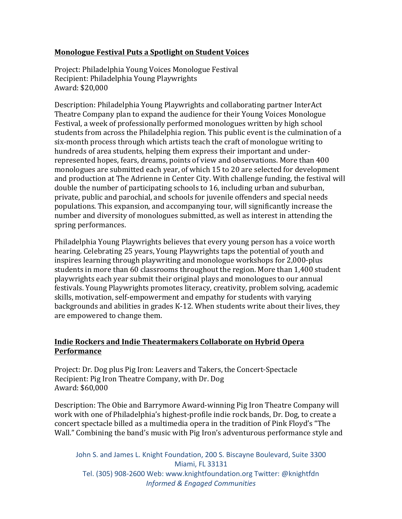## **Monologue Festival Puts a Spotlight on Student Voices**

Project: Philadelphia Young Voices Monologue Festival Recipient: Philadelphia Young Playwrights Award: \$20,000

Description: Philadelphia Young Playwrights and collaborating partner InterAct Theatre Company plan to expand the audience for their Young Voices Monologue Festival, a week of professionally performed monologues written by high school students from across the Philadelphia region. This public event is the culmination of a six-month process through which artists teach the craft of monologue writing to hundreds of area students, helping them express their important and underrepresented hopes, fears, dreams, points of view and observations. More than 400 monologues are submitted each year, of which 15 to 20 are selected for development and production at The Adrienne in Center City. With challenge funding, the festival will double the number of participating schools to 16, including urban and suburban, private, public and parochial, and schools for juvenile offenders and special needs populations. This expansion, and accompanying tour, will significantly increase the number and diversity of monologues submitted, as well as interest in attending the spring performances.

Philadelphia Young Playwrights believes that every young person has a voice worth hearing. Celebrating 25 years, Young Playwrights taps the potential of youth and inspires learning through playwriting and monologue workshops for 2,000-plus students in more than 60 classrooms throughout the region. More than 1,400 student playwrights each year submit their original plays and monologues to our annual festivals. Young Playwrights promotes literacy, creativity, problem solving, academic skills, motivation, self-empowerment and empathy for students with varying backgrounds and abilities in grades K-12. When students write about their lives, they are empowered to change them.

## **Indie Rockers and Indie Theatermakers Collaborate on Hybrid Opera Performance**

Project: Dr. Dog plus Pig Iron: Leavers and Takers, the Concert-Spectacle Recipient: Pig Iron Theatre Company, with Dr. Dog Award: \$60,000

Description: The Obie and Barrymore Award-winning Pig Iron Theatre Company will work with one of Philadelphia's highest-profile indie rock bands, Dr. Dog, to create a concert spectacle billed as a multimedia opera in the tradition of Pink Floyd's "The Wall." Combining the band's music with Pig Iron's adventurous performance style and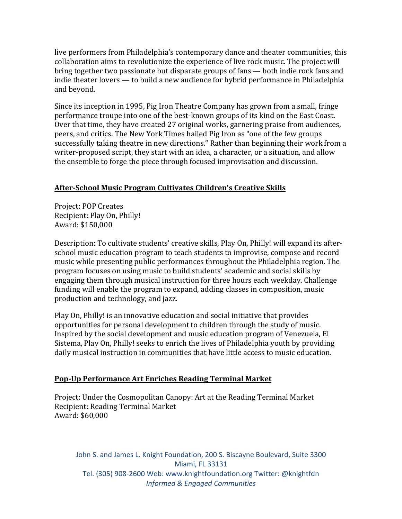live performers from Philadelphia's contemporary dance and theater communities, this collaboration aims to revolutionize the experience of live rock music. The project will bring together two passionate but disparate groups of fans  $-$  both indie rock fans and indie theater lovers — to build a new audience for hybrid performance in Philadelphia and beyond.

Since its inception in 1995, Pig Iron Theatre Company has grown from a small, fringe performance troupe into one of the best-known groups of its kind on the East Coast. Over that time, they have created 27 original works, garnering praise from audiences, peers, and critics. The New York Times hailed Pig Iron as "one of the few groups successfully taking theatre in new directions." Rather than beginning their work from a writer-proposed script, they start with an idea, a character, or a situation, and allow the ensemble to forge the piece through focused improvisation and discussion.

# **After-School Music Program Cultivates Children's Creative Skills**

Project: POP Creates Recipient: Play On, Philly! Award: \$150,000

Description: To cultivate students' creative skills, Play On, Philly! will expand its afterschool music education program to teach students to improvise, compose and record music while presenting public performances throughout the Philadelphia region. The program focuses on using music to build students' academic and social skills by engaging them through musical instruction for three hours each weekday. Challenge funding will enable the program to expand, adding classes in composition, music production and technology, and jazz.

Play On, Philly! is an innovative education and social initiative that provides opportunities for personal development to children through the study of music. Inspired by the social development and music education program of Venezuela, El Sistema, Play On, Philly! seeks to enrich the lives of Philadelphia youth by providing daily musical instruction in communities that have little access to music education.

# Pop-Up Performance Art Enriches Reading Terminal Market

Project: Under the Cosmopolitan Canopy: Art at the Reading Terminal Market Recipient: Reading Terminal Market Award: \$60,000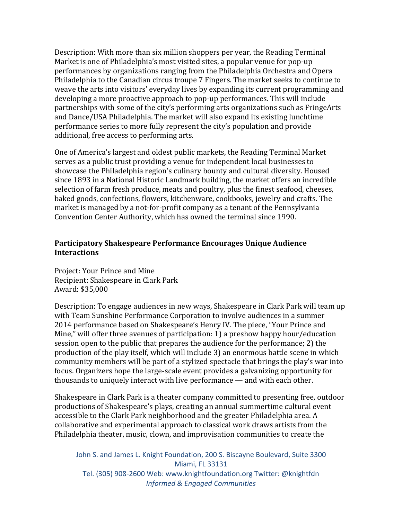Description: With more than six million shoppers per year, the Reading Terminal Market is one of Philadelphia's most visited sites, a popular venue for pop-up performances by organizations ranging from the Philadelphia Orchestra and Opera Philadelphia to the Canadian circus troupe 7 Fingers. The market seeks to continue to weave the arts into visitors' everyday lives by expanding its current programming and developing a more proactive approach to pop-up performances. This will include partnerships with some of the city's performing arts organizations such as FringeArts and Dance/USA Philadelphia. The market will also expand its existing lunchtime performance series to more fully represent the city's population and provide additional, free access to performing arts.

One of America's largest and oldest public markets, the Reading Terminal Market serves as a public trust providing a venue for independent local businesses to showcase the Philadelphia region's culinary bounty and cultural diversity. Housed since 1893 in a National Historic Landmark building, the market offers an incredible selection of farm fresh produce, meats and poultry, plus the finest seafood, cheeses, baked goods, confections, flowers, kitchenware, cookbooks, jewelry and crafts. The market is managed by a not-for-profit company as a tenant of the Pennsylvania Convention Center Authority, which has owned the terminal since 1990.

#### **Participatory Shakespeare Performance Encourages Unique Audience Interactions**

Project: Your Prince and Mine Recipient: Shakespeare in Clark Park Award: \$35,000

Description: To engage audiences in new ways, Shakespeare in Clark Park will team up with Team Sunshine Performance Corporation to involve audiences in a summer 2014 performance based on Shakespeare's Henry IV. The piece, "Your Prince and Mine," will offer three avenues of participation: 1) a preshow happy hour/education session open to the public that prepares the audience for the performance; 2) the production of the play itself, which will include 3) an enormous battle scene in which community members will be part of a stylized spectacle that brings the play's war into focus. Organizers hope the large-scale event provides a galvanizing opportunity for thousands to uniquely interact with live performance  $-$  and with each other.

Shakespeare in Clark Park is a theater company committed to presenting free, outdoor productions of Shakespeare's plays, creating an annual summertime cultural event accessible to the Clark Park neighborhood and the greater Philadelphia area. A collaborative and experimental approach to classical work draws artists from the Philadelphia theater, music, clown, and improvisation communities to create the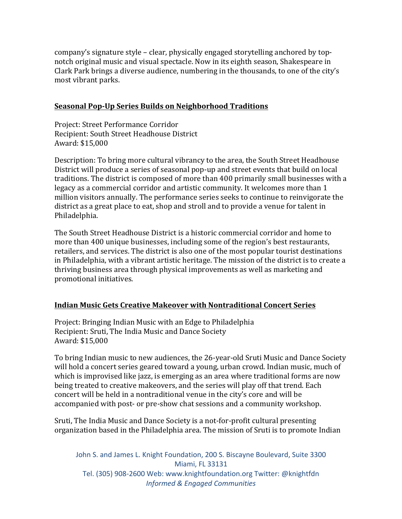company's signature style – clear, physically engaged storytelling anchored by topnotch original music and visual spectacle. Now in its eighth season, Shakespeare in Clark Park brings a diverse audience, numbering in the thousands, to one of the city's most vibrant parks.

## **Seasonal Pop-Up Series Builds on Neighborhood Traditions**

Project: Street Performance Corridor Recipient: South Street Headhouse District Award: \$15,000

Description: To bring more cultural vibrancy to the area, the South Street Headhouse District will produce a series of seasonal pop-up and street events that build on local traditions. The district is composed of more than 400 primarily small businesses with a legacy as a commercial corridor and artistic community. It welcomes more than 1 million visitors annually. The performance series seeks to continue to reinvigorate the district as a great place to eat, shop and stroll and to provide a venue for talent in Philadelphia. 

The South Street Headhouse District is a historic commercial corridor and home to more than 400 unique businesses, including some of the region's best restaurants, retailers, and services. The district is also one of the most popular tourist destinations in Philadelphia, with a vibrant artistic heritage. The mission of the district is to create a thriving business area through physical improvements as well as marketing and promotional initiatives.

# **Indian Music Gets Creative Makeover with Nontraditional Concert Series**

Project: Bringing Indian Music with an Edge to Philadelphia Recipient: Sruti, The India Music and Dance Society Award: \$15,000

To bring Indian music to new audiences, the 26-year-old Sruti Music and Dance Society will hold a concert series geared toward a young, urban crowd. Indian music, much of which is improvised like jazz, is emerging as an area where traditional forms are now being treated to creative makeovers, and the series will play off that trend. Each concert will be held in a nontraditional venue in the city's core and will be accompanied with post- or pre-show chat sessions and a community workshop.

Sruti, The India Music and Dance Society is a not-for-profit cultural presenting organization based in the Philadelphia area. The mission of Sruti is to promote Indian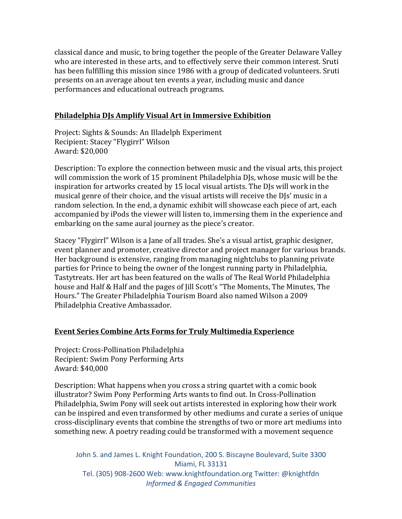classical dance and music, to bring together the people of the Greater Delaware Valley who are interested in these arts, and to effectively serve their common interest. Sruti has been fulfilling this mission since 1986 with a group of dedicated volunteers. Sruti presents on an average about ten events a year, including music and dance performances and educational outreach programs.

#### **Philadelphia DJs Amplify Visual Art in Immersive Exhibition**

Project: Sights & Sounds: An Illadelph Experiment Recipient: Stacey "Flygirrl" Wilson Award: \$20,000

Description: To explore the connection between music and the visual arts, this project will commission the work of 15 prominent Philadelphia DJs, whose music will be the inspiration for artworks created by 15 local visual artists. The DJs will work in the musical genre of their choice, and the visual artists will receive the DJs' music in a random selection. In the end, a dynamic exhibit will showcase each piece of art, each accompanied by iPods the viewer will listen to, immersing them in the experience and embarking on the same aural journey as the piece's creator.

Stacey "Flygirrl" Wilson is a Jane of all trades. She's a visual artist, graphic designer, event planner and promoter, creative director and project manager for various brands. Her background is extensive, ranging from managing nightclubs to planning private parties for Prince to being the owner of the longest running party in Philadelphia, Tastytreats. Her art has been featured on the walls of The Real World Philadelphia house and Half & Half and the pages of Jill Scott's "The Moments, The Minutes, The Hours." The Greater Philadelphia Tourism Board also named Wilson a 2009 Philadelphia Creative Ambassador.

#### **Event Series Combine Arts Forms for Truly Multimedia Experience**

Project: Cross-Pollination Philadelphia Recipient: Swim Pony Performing Arts Award: \$40,000

Description: What happens when you cross a string quartet with a comic book illustrator? Swim Pony Performing Arts wants to find out. In Cross-Pollination Philadelphia, Swim Pony will seek out artists interested in exploring how their work can be inspired and even transformed by other mediums and curate a series of unique cross-disciplinary events that combine the strengths of two or more art mediums into something new. A poetry reading could be transformed with a movement sequence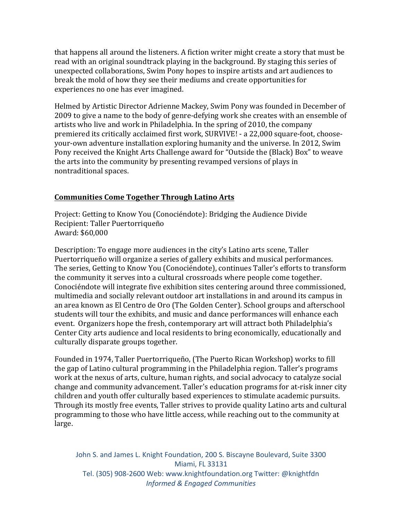that happens all around the listeners. A fiction writer might create a story that must be read with an original soundtrack playing in the background. By staging this series of unexpected collaborations, Swim Pony hopes to inspire artists and art audiences to break the mold of how they see their mediums and create opportunities for experiences no one has ever imagined.

Helmed by Artistic Director Adrienne Mackey, Swim Pony was founded in December of 2009 to give a name to the body of genre-defying work she creates with an ensemble of artists who live and work in Philadelphia. In the spring of 2010, the company premiered its critically acclaimed first work, SURVIVE! - a 22,000 square-foot, chooseyour-own adventure installation exploring humanity and the universe. In 2012, Swim Pony received the Knight Arts Challenge award for "Outside the (Black) Box" to weave the arts into the community by presenting revamped versions of plays in nontraditional spaces.

## **Communities Come Together Through Latino Arts**

Project: Getting to Know You (Conociéndote): Bridging the Audience Divide Recipient: Taller Puertorriqueño Award: \$60,000

Description: To engage more audiences in the city's Latino arts scene, Taller Puertorriqueño will organize a series of gallery exhibits and musical performances. The series, Getting to Know You (Conociéndote), continues Taller's efforts to transform the community it serves into a cultural crossroads where people come together. Conociéndote will integrate five exhibition sites centering around three commissioned, multimedia and socially relevant outdoor art installations in and around its campus in an area known as El Centro de Oro (The Golden Center). School groups and afterschool students will tour the exhibits, and music and dance performances will enhance each event. Organizers hope the fresh, contemporary art will attract both Philadelphia's Center City arts audience and local residents to bring economically, educationally and culturally disparate groups together.

Founded in 1974, Taller Puertorriqueño, (The Puerto Rican Workshop) works to fill the gap of Latino cultural programming in the Philadelphia region. Taller's programs work at the nexus of arts, culture, human rights, and social advocacy to catalyze social change and community advancement. Taller's education programs for at-risk inner city children and youth offer culturally based experiences to stimulate academic pursuits. Through its mostly free events, Taller strives to provide quality Latino arts and cultural programming to those who have little access, while reaching out to the community at large.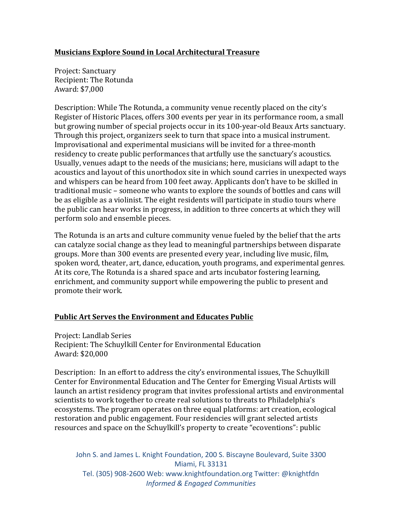## **Musicians Explore Sound in Local Architectural Treasure**

Project: Sanctuary Recipient: The Rotunda Award: \$7,000

Description: While The Rotunda, a community venue recently placed on the city's Register of Historic Places, offers 300 events per year in its performance room, a small but growing number of special projects occur in its 100-year-old Beaux Arts sanctuary. Through this project, organizers seek to turn that space into a musical instrument. Improvisational and experimental musicians will be invited for a three-month residency to create public performances that artfully use the sanctuary's acoustics. Usually, venues adapt to the needs of the musicians; here, musicians will adapt to the acoustics and layout of this unorthodox site in which sound carries in unexpected ways and whispers can be heard from 100 feet away. Applicants don't have to be skilled in traditional music - someone who wants to explore the sounds of bottles and cans will be as eligible as a violinist. The eight residents will participate in studio tours where the public can hear works in progress, in addition to three concerts at which they will perform solo and ensemble pieces.

The Rotunda is an arts and culture community venue fueled by the belief that the arts can catalyze social change as they lead to meaningful partnerships between disparate groups. More than 300 events are presented every year, including live music, film, spoken word, theater, art, dance, education, youth programs, and experimental genres. At its core, The Rotunda is a shared space and arts incubator fostering learning, enrichment, and community support while empowering the public to present and promote their work.

# **Public Art Serves the Environment and Educates Public**

Project: Landlab Series Recipient: The Schuylkill Center for Environmental Education Award: \$20,000

Description: In an effort to address the city's environmental issues, The Schuylkill Center for Environmental Education and The Center for Emerging Visual Artists will launch an artist residency program that invites professional artists and environmental scientists to work together to create real solutions to threats to Philadelphia's ecosystems. The program operates on three equal platforms: art creation, ecological restoration and public engagement. Four residencies will grant selected artists resources and space on the Schuylkill's property to create "ecoventions": public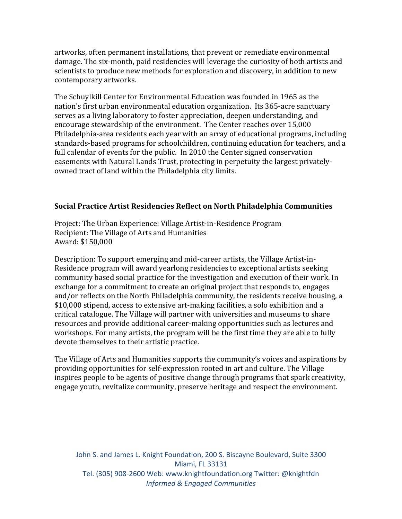artworks, often permanent installations, that prevent or remediate environmental damage. The six-month, paid residencies will leverage the curiosity of both artists and scientists to produce new methods for exploration and discovery, in addition to new contemporary artworks.

The Schuylkill Center for Environmental Education was founded in 1965 as the nation's first urban environmental education organization. Its 365-acre sanctuary serves as a living laboratory to foster appreciation, deepen understanding, and encourage stewardship of the environment. The Center reaches over 15,000 Philadelphia-area residents each year with an array of educational programs, including standards-based programs for schoolchildren, continuing education for teachers, and a full calendar of events for the public. In 2010 the Center signed conservation easements with Natural Lands Trust, protecting in perpetuity the largest privatelyowned tract of land within the Philadelphia city limits.

#### **<u>Social Practice Artist Residencies Reflect on North Philadelphia Communities</u>**

Project: The Urban Experience: Village Artist-in-Residence Program Recipient: The Village of Arts and Humanities Award: \$150,000

Description: To support emerging and mid-career artists, the Village Artist-in-Residence program will award yearlong residencies to exceptional artists seeking community based social practice for the investigation and execution of their work. In exchange for a commitment to create an original project that responds to, engages and/or reflects on the North Philadelphia community, the residents receive housing, a \$10,000 stipend, access to extensive art-making facilities, a solo exhibition and a critical catalogue. The Village will partner with universities and museums to share resources and provide additional career-making opportunities such as lectures and workshops. For many artists, the program will be the first time they are able to fully devote themselves to their artistic practice.

The Village of Arts and Humanities supports the community's voices and aspirations by providing opportunities for self-expression rooted in art and culture. The Village inspires people to be agents of positive change through programs that spark creativity, engage youth, revitalize community, preserve heritage and respect the environment.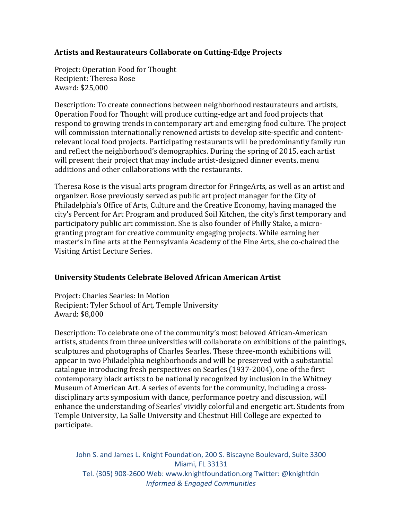## Artists and Restaurateurs Collaborate on Cutting-Edge Projects

Project: Operation Food for Thought Recipient: Theresa Rose Award: \$25,000

Description: To create connections between neighborhood restaurateurs and artists, Operation Food for Thought will produce cutting-edge art and food projects that respond to growing trends in contemporary art and emerging food culture. The project will commission internationally renowned artists to develop site-specific and contentrelevant local food projects. Participating restaurants will be predominantly family run and reflect the neighborhood's demographics. During the spring of 2015, each artist will present their project that may include artist-designed dinner events, menu additions and other collaborations with the restaurants.

Theresa Rose is the visual arts program director for FringeArts, as well as an artist and organizer. Rose previously served as public art project manager for the City of Philadelphia's Office of Arts, Culture and the Creative Economy, having managed the city's Percent for Art Program and produced Soil Kitchen, the city's first temporary and participatory public art commission. She is also founder of Philly Stake, a microgranting program for creative community engaging projects. While earning her master's in fine arts at the Pennsylvania Academy of the Fine Arts, she co-chaired the Visiting Artist Lecture Series.

# **University Students Celebrate Beloved African American Artist**

Project: Charles Searles: In Motion Recipient: Tyler School of Art, Temple University Award: \$8,000

Description: To celebrate one of the community's most beloved African-American artists, students from three universities will collaborate on exhibitions of the paintings, sculptures and photographs of Charles Searles. These three-month exhibitions will appear in two Philadelphia neighborhoods and will be preserved with a substantial catalogue introducing fresh perspectives on Searles (1937-2004), one of the first contemporary black artists to be nationally recognized by inclusion in the Whitney Museum of American Art. A series of events for the community, including a crossdisciplinary arts symposium with dance, performance poetry and discussion, will enhance the understanding of Searles' vividly colorful and energetic art. Students from Temple University, La Salle University and Chestnut Hill College are expected to participate.